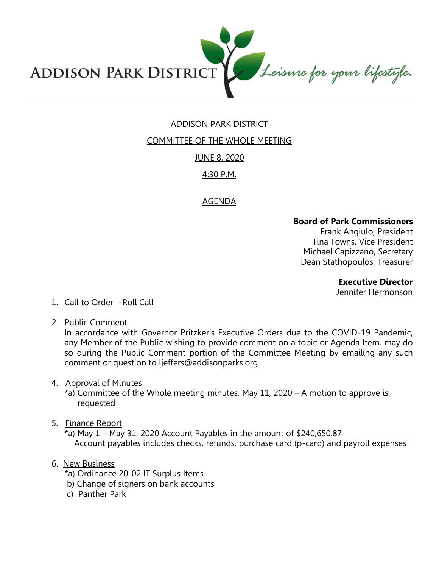Leisure for your lifestyle. **ADDISON PARK DISTRICT** 

# ADDISON PARK DISTRICT

# COMMITTEE OF THE WHOLE MEETING

### JUNE 8, 2020

# 4:30 P.M.

# AGENDA

## **Board of Park Commissioners**

Frank Angiulo, President Tina Towns, Vice President Michael Capizzano, Secretary Dean Stathopoulos, Treasurer

**Executive Director** 

Jennifer Hermonson

#### 1. Call to Order – Roll Call

2. Public Comment

In accordance with Governor Pritzker's Executive Orders due to the COVID-19 Pandemic, any Member of the Public wishing to provide comment on a topic or Agenda Item, may do so during the Public Comment portion of the Committee Meeting by emailing any such comment or question to ljeffers@addisonparks.org.

4. Approval of Minutes

\*a) Committee of the Whole meeting minutes, May 11, 2020 – A motion to approve is requested

5. Finance Report

 $*$ a) May 1 – May 31, 2020 Account Payables in the amount of \$240,650.87 Account payables includes checks, refunds, purchase card (p-card) and payroll expenses

### 6. New Business

- \*a) Ordinance 20-02 IT Surplus Items.
- b) Change of signers on bank accounts
- c) Panther Park